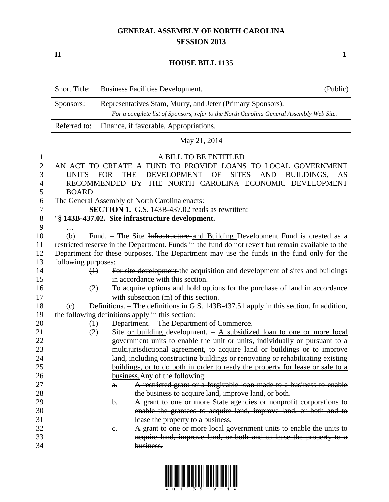## **GENERAL ASSEMBLY OF NORTH CAROLINA SESSION 2013**

**H 1**

## **HOUSE BILL 1135**

|                | <b>Short Title:</b>                                                                                                    |         | Business Facilities Development.                                                                                                                      | (Public) |
|----------------|------------------------------------------------------------------------------------------------------------------------|---------|-------------------------------------------------------------------------------------------------------------------------------------------------------|----------|
|                | Sponsors:                                                                                                              |         | Representatives Stam, Murry, and Jeter (Primary Sponsors).<br>For a complete list of Sponsors, refer to the North Carolina General Assembly Web Site. |          |
|                | Referred to:                                                                                                           |         | Finance, if favorable, Appropriations.                                                                                                                |          |
|                |                                                                                                                        |         | May 21, 2014                                                                                                                                          |          |
| $\mathbf{1}$   |                                                                                                                        |         | A BILL TO BE ENTITLED                                                                                                                                 |          |
| $\overline{c}$ |                                                                                                                        |         | AN ACT TO CREATE A FUND TO PROVIDE LOANS TO LOCAL GOVERNMENT                                                                                          |          |
| 3              | <b>DEVELOPMENT</b><br>OF<br><b>SITES</b><br><b>UNITS</b><br><b>FOR</b><br><b>THE</b><br><b>AND</b><br>BUILDINGS,<br>AS |         |                                                                                                                                                       |          |
| 4              | RECOMMENDED BY THE NORTH CAROLINA ECONOMIC DEVELOPMENT                                                                 |         |                                                                                                                                                       |          |
| 5              | <b>BOARD.</b>                                                                                                          |         |                                                                                                                                                       |          |
| 6              |                                                                                                                        |         | The General Assembly of North Carolina enacts:                                                                                                        |          |
| 7              |                                                                                                                        |         | <b>SECTION 1.</b> G.S. 143B-437.02 reads as rewritten:                                                                                                |          |
| $8\,$          |                                                                                                                        |         | "§ 143B-437.02. Site infrastructure development.                                                                                                      |          |
| 9              |                                                                                                                        |         |                                                                                                                                                       |          |
| 10             | (b)                                                                                                                    |         | Fund. – The Site Infrastructure and Building Development Fund is created as a                                                                         |          |
| 11             |                                                                                                                        |         | restricted reserve in the Department. Funds in the fund do not revert but remain available to the                                                     |          |
| 12             |                                                                                                                        |         | Department for these purposes. The Department may use the funds in the fund only for the                                                              |          |
| 13             | following purposes:                                                                                                    |         |                                                                                                                                                       |          |
| 14             | $\leftrightarrow$                                                                                                      |         | For site development the acquisition and development of sites and buildings                                                                           |          |
| 15             |                                                                                                                        |         | in accordance with this section.                                                                                                                      |          |
| 16             | (2)                                                                                                                    |         | To acquire options and hold options for the purchase of land in accordance                                                                            |          |
| 17             |                                                                                                                        |         | with subsection (m) of this section.                                                                                                                  |          |
| 18             | (c)                                                                                                                    |         | Definitions. - The definitions in G.S. 143B-437.51 apply in this section. In addition,                                                                |          |
| 19             |                                                                                                                        |         | the following definitions apply in this section:                                                                                                      |          |
| 20             | (1)                                                                                                                    |         | Department. - The Department of Commerce.                                                                                                             |          |
| 21             | (2)                                                                                                                    |         | Site or building development. $-$ A subsidized loan to one or more local                                                                              |          |
| 22             |                                                                                                                        |         | government units to enable the unit or units, individually or pursuant to a                                                                           |          |
| 23             |                                                                                                                        |         | multijurisdictional agreement, to acquire land or buildings or to improve                                                                             |          |
| 24             |                                                                                                                        |         | land, including constructing buildings or renovating or rehabilitating existing                                                                       |          |
| 25             |                                                                                                                        |         | buildings, or to do both in order to ready the property for lease or sale to a                                                                        |          |
| 26             |                                                                                                                        |         | business. Any of the following:                                                                                                                       |          |
| 27             |                                                                                                                        | a.      | A restricted grant or a forgivable loan made to a business to enable                                                                                  |          |
| 28             |                                                                                                                        |         | the business to acquire land, improve land, or both.                                                                                                  |          |
| 29             |                                                                                                                        | b.      | A grant to one or more State agencies or nonprofit corporations to                                                                                    |          |
| 30             |                                                                                                                        |         | enable the grantees to acquire land, improve land, or both and to                                                                                     |          |
| 31             |                                                                                                                        |         | lease the property to a business.                                                                                                                     |          |
| 32             |                                                                                                                        | $e_{i}$ | A grant to one or more local government units to enable the units to                                                                                  |          |
| 33             |                                                                                                                        |         | acquire land, improve land, or both and to lease the property to a                                                                                    |          |
| 34             |                                                                                                                        |         | business.                                                                                                                                             |          |

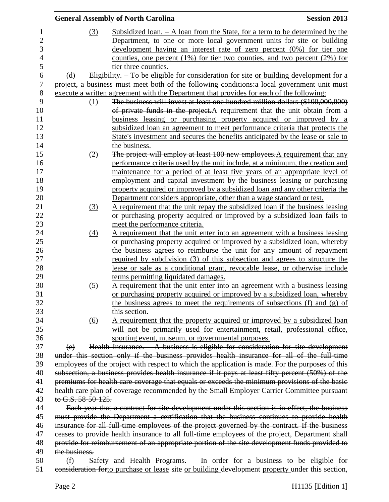|                |                                                                                                                                                                                                 | <b>General Assembly of North Carolina</b>                                                                                                                                                 | <b>Session 2013</b> |  |
|----------------|-------------------------------------------------------------------------------------------------------------------------------------------------------------------------------------------------|-------------------------------------------------------------------------------------------------------------------------------------------------------------------------------------------|---------------------|--|
| $\mathbf 1$    | (3)                                                                                                                                                                                             | <u>Subsidized loan. <math>- A</math> loan from the State, for a term to be determined by the</u>                                                                                          |                     |  |
| $\overline{2}$ |                                                                                                                                                                                                 | Department, to one or more local government units for site or building                                                                                                                    |                     |  |
| 3              |                                                                                                                                                                                                 | development having an interest rate of zero percent (0%) for tier one                                                                                                                     |                     |  |
| $\overline{4}$ |                                                                                                                                                                                                 | counties, one percent $(1\%)$ for tier two counties, and two percent $(2\%)$ for                                                                                                          |                     |  |
| 5              |                                                                                                                                                                                                 | tier three counties.                                                                                                                                                                      |                     |  |
| 6              | (d)                                                                                                                                                                                             | Eligibility. $-$ To be eligible for consideration for site or building development for a                                                                                                  |                     |  |
| 7              |                                                                                                                                                                                                 | project, a business must meet both of the following conditions: a local government unit must                                                                                              |                     |  |
| 8              |                                                                                                                                                                                                 | execute a written agreement with the Department that provides for each of the following:                                                                                                  |                     |  |
| 9              | (1)                                                                                                                                                                                             | The business will invest at least one hundred million dollars (\$100,000,000)                                                                                                             |                     |  |
| 10             |                                                                                                                                                                                                 | of private funds in the project.A requirement that the unit obtain from a                                                                                                                 |                     |  |
| 11             |                                                                                                                                                                                                 | business leasing or purchasing property acquired or improved by a                                                                                                                         |                     |  |
| 12             |                                                                                                                                                                                                 | subsidized loan an agreement to meet performance criteria that protects the                                                                                                               |                     |  |
| 13             |                                                                                                                                                                                                 | State's investment and secures the benefits anticipated by the lease or sale to                                                                                                           |                     |  |
| 14             |                                                                                                                                                                                                 | the business.                                                                                                                                                                             |                     |  |
| 15             | (2)                                                                                                                                                                                             | The project will employ at least 100 new employees. A requirement that any                                                                                                                |                     |  |
| 16             |                                                                                                                                                                                                 | performance criteria used by the unit include, at a minimum, the creation and                                                                                                             |                     |  |
| 17             |                                                                                                                                                                                                 | maintenance for a period of at least five years of an appropriate level of                                                                                                                |                     |  |
| 18             |                                                                                                                                                                                                 | employment and capital investment by the business leasing or purchasing                                                                                                                   |                     |  |
| 19             |                                                                                                                                                                                                 | property acquired or improved by a subsidized loan and any other criteria the                                                                                                             |                     |  |
| 20             |                                                                                                                                                                                                 | Department considers appropriate, other than a wage standard or test.                                                                                                                     |                     |  |
| 21             | (3)                                                                                                                                                                                             | A requirement that the unit repay the subsidized loan if the business leasing                                                                                                             |                     |  |
| 22             |                                                                                                                                                                                                 | or purchasing property acquired or improved by a subsidized loan fails to                                                                                                                 |                     |  |
| 23             |                                                                                                                                                                                                 | meet the performance criteria.                                                                                                                                                            |                     |  |
| 24             | $\left(4\right)$                                                                                                                                                                                | A requirement that the unit enter into an agreement with a business leasing                                                                                                               |                     |  |
| 25             |                                                                                                                                                                                                 | or purchasing property acquired or improved by a subsidized loan, whereby                                                                                                                 |                     |  |
| 26             |                                                                                                                                                                                                 | the business agrees to reimburse the unit for any amount of repayment                                                                                                                     |                     |  |
| 27             |                                                                                                                                                                                                 | <u>required by subdivision (3) of this subsection and agrees to structure the</u>                                                                                                         |                     |  |
| 28             |                                                                                                                                                                                                 | lease or sale as a conditional grant, revocable lease, or otherwise include                                                                                                               |                     |  |
| 29             |                                                                                                                                                                                                 | terms permitting liquidated damages.                                                                                                                                                      |                     |  |
| 30             | (5)                                                                                                                                                                                             | A requirement that the unit enter into an agreement with a business leasing                                                                                                               |                     |  |
| 31             |                                                                                                                                                                                                 | or purchasing property acquired or improved by a subsidized loan, whereby                                                                                                                 |                     |  |
| 32             |                                                                                                                                                                                                 | the business agrees to meet the requirements of subsections (f) and (g) of                                                                                                                |                     |  |
| 33             |                                                                                                                                                                                                 | this section.                                                                                                                                                                             |                     |  |
| 34             | (6)                                                                                                                                                                                             | A requirement that the property acquired or improved by a subsidized loan                                                                                                                 |                     |  |
| 35             |                                                                                                                                                                                                 | will not be primarily used for entertainment, retail, professional office,                                                                                                                |                     |  |
| 36             |                                                                                                                                                                                                 | sporting event, museum, or governmental purposes.                                                                                                                                         |                     |  |
| 37             | (e)                                                                                                                                                                                             | Health Insurance. A business is eligible for consideration for site development                                                                                                           |                     |  |
| 38             |                                                                                                                                                                                                 | under this section only if the business provides health insurance for all of the full-time                                                                                                |                     |  |
| 39             |                                                                                                                                                                                                 | employees of the project with respect to which the application is made. For the purposes of this                                                                                          |                     |  |
| 40             |                                                                                                                                                                                                 | subsection, a business provides health insurance if it pays at least fifty percent (50%) of the                                                                                           |                     |  |
| 41             |                                                                                                                                                                                                 | premiums for health care coverage that equals or exceeds the minimum provisions of the basic                                                                                              |                     |  |
| 42             |                                                                                                                                                                                                 | health care plan of coverage recommended by the Small Employer Carrier Committee pursuant                                                                                                 |                     |  |
| 43             | to G.S. 58-50-125.                                                                                                                                                                              |                                                                                                                                                                                           |                     |  |
| 44             |                                                                                                                                                                                                 | Each year that a contract for site development under this section is in effect, the business<br>must provide the Department a certification that the business continues to provide health |                     |  |
| 45<br>46       |                                                                                                                                                                                                 |                                                                                                                                                                                           |                     |  |
| 47             |                                                                                                                                                                                                 | insurance for all full time employees of the project governed by the contract. If the business                                                                                            |                     |  |
| 48             | ceases to provide health insurance to all full time employees of the project, Department shall<br>provide for reimbursement of an appropriate portion of the site development funds provided to |                                                                                                                                                                                           |                     |  |
| 49             | the business.                                                                                                                                                                                   |                                                                                                                                                                                           |                     |  |
| 50             | (f)                                                                                                                                                                                             | Safety and Health Programs. $-$ In order for a business to be eligible for                                                                                                                |                     |  |
| 51             |                                                                                                                                                                                                 | consideration forto purchase or lease site or building development property under this section,                                                                                           |                     |  |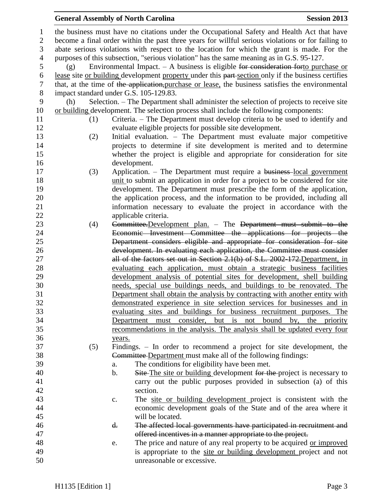## **General Assembly of North Carolina Session 2013**

| 1              |                                                                                                   | the business must have no citations under the Occupational Safety and Health Act that have         |  |  |
|----------------|---------------------------------------------------------------------------------------------------|----------------------------------------------------------------------------------------------------|--|--|
| $\overline{c}$ | become a final order within the past three years for willful serious violations or for failing to |                                                                                                    |  |  |
| 3              | abate serious violations with respect to the location for which the grant is made. For the        |                                                                                                    |  |  |
| 4              | purposes of this subsection, "serious violation" has the same meaning as in G.S. 95-127.          |                                                                                                    |  |  |
| 5              | (g)                                                                                               | Environmental Impact. $-$ A business is eligible for consideration forto purchase or               |  |  |
| 6              |                                                                                                   | lease site or building development property under this part-section only if the business certifies |  |  |
| 7              |                                                                                                   | that, at the time of the application, purchase or lease, the business satisfies the environmental  |  |  |
| $8\,$          |                                                                                                   | impact standard under G.S. 105-129.83.                                                             |  |  |
| 9              | (h)                                                                                               | Selection. – The Department shall administer the selection of projects to receive site             |  |  |
| 10             |                                                                                                   | or building development. The selection process shall include the following components:             |  |  |
| 11             | (1)                                                                                               | Criteria. – The Department must develop criteria to be used to identify and                        |  |  |
| 12             |                                                                                                   | evaluate eligible projects for possible site development.                                          |  |  |
| 13             | (2)                                                                                               | Initial evaluation. - The Department must evaluate major competitive                               |  |  |
| 14             |                                                                                                   | projects to determine if site development is merited and to determine                              |  |  |
| 15             |                                                                                                   | whether the project is eligible and appropriate for consideration for site                         |  |  |
| 16             |                                                                                                   | development.                                                                                       |  |  |
| 17             | (3)                                                                                               | Application. – The Department must require a business-local government                             |  |  |
| 18             |                                                                                                   | unit to submit an application in order for a project to be considered for site                     |  |  |
| 19             |                                                                                                   | development. The Department must prescribe the form of the application,                            |  |  |
| 20             |                                                                                                   | the application process, and the information to be provided, including all                         |  |  |
| 21             |                                                                                                   | information necessary to evaluate the project in accordance with the                               |  |  |
| 22             |                                                                                                   | applicable criteria.                                                                               |  |  |
| 23             | (4)                                                                                               | Committee. Development plan. - The Department must submit to the                                   |  |  |
| 24             |                                                                                                   | Economic Investment Committee the applications for projects the                                    |  |  |
| 25             |                                                                                                   | Department considers eligible and appropriate for consideration for site                           |  |  |
| 26             |                                                                                                   | development. In evaluating each application, the Committee must consider                           |  |  |
| 27             |                                                                                                   | all of the factors set out in Section 2.1(b) of S.L. 2002-172. Department, in                      |  |  |
| 28             |                                                                                                   | evaluating each application, must obtain a strategic business facilities                           |  |  |
| 29             |                                                                                                   | development analysis of potential sites for development, shell building                            |  |  |
| 30             |                                                                                                   | needs, special use buildings needs, and buildings to be renovated. The                             |  |  |
| 31             |                                                                                                   | Department shall obtain the analysis by contracting with another entity with                       |  |  |
| 32             |                                                                                                   | demonstrated experience in site selection services for businesses and in                           |  |  |
| 33             |                                                                                                   | evaluating sites and buildings for business recruitment purposes. The                              |  |  |
| 34             |                                                                                                   | must consider,<br>but<br>is<br>bound<br>the priority<br>Department<br>not<br>by,                   |  |  |
| 35             |                                                                                                   | recommendations in the analysis. The analysis shall be updated every four                          |  |  |
| 36             |                                                                                                   | years.                                                                                             |  |  |
| 37             | (5)                                                                                               | Findings. – In order to recommend a project for site development, the                              |  |  |
| 38             |                                                                                                   | Committee Department must make all of the following findings:                                      |  |  |
| 39             |                                                                                                   | The conditions for eligibility have been met.<br>a.                                                |  |  |
| 40             |                                                                                                   | $\mathbf b$ .<br>Site–The site or building development for the-project is necessary to             |  |  |
| 41             |                                                                                                   | carry out the public purposes provided in subsection (a) of this                                   |  |  |
| 42             |                                                                                                   | section.                                                                                           |  |  |
| 43             |                                                                                                   | The site or building development project is consistent with the<br>c.                              |  |  |
| 44             |                                                                                                   | economic development goals of the State and of the area where it                                   |  |  |
| 45             |                                                                                                   | will be located.                                                                                   |  |  |
| 46             |                                                                                                   | The affected local governments have participated in recruitment and<br>d.                          |  |  |
| 47             |                                                                                                   | offered incentives in a manner appropriate to the project.                                         |  |  |
| 48             |                                                                                                   | The price and nature of any real property to be acquired or improved<br>e.                         |  |  |
| 49             |                                                                                                   | is appropriate to the site or building development project and not                                 |  |  |
| 50             |                                                                                                   | unreasonable or excessive.                                                                         |  |  |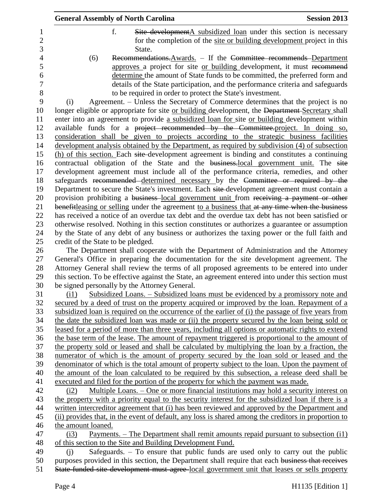|                | <b>General Assembly of North Carolina</b><br><b>Session 2013</b>                                                                         |
|----------------|------------------------------------------------------------------------------------------------------------------------------------------|
| $\mathbf 1$    | f.<br>Site developmentA subsidized loan under this section is necessary                                                                  |
| $\overline{2}$ | for the completion of the site or building development project in this                                                                   |
| 3              | State.                                                                                                                                   |
| $\overline{4}$ | (6)<br>Recommendations. Awards. - If the Committee recommends-Department                                                                 |
| 5              | approves a project for site or building development, it must recommend                                                                   |
| 6              | determine the amount of State funds to be committed, the preferred form and                                                              |
| $\overline{7}$ | details of the State participation, and the performance criteria and safeguards                                                          |
| 8              | to be required in order to protect the State's investment.                                                                               |
| 9              | Agreement. – Unless the Secretary of Commerce determines that the project is no<br>(i)                                                   |
| 10             | longer eligible or appropriate for site or building development, the Department-Secretary shall                                          |
| 11             | enter into an agreement to provide a subsidized loan for site or building development within                                             |
| 12             | available funds for a project recommended by the Committee-project. In doing so,                                                         |
| 13             | consideration shall be given to projects according to the strategic business facilities                                                  |
| 14             | development analysis obtained by the Department, as required by subdivision (4) of subsection                                            |
| 15             | (h) of this section. Each site-development agreement is binding and constitutes a continuing                                             |
| 16             | contractual obligation of the State and the business-local government unit. The site                                                     |
| 17             | development agreement must include all of the performance criteria, remedies, and other                                                  |
| 18             | safeguards recommended determined necessary by the Committee or required by the                                                          |
| 19             | Department to secure the State's investment. Each site-development agreement must contain a                                              |
| 20             | provision prohibiting a business-local government unit from receiving a payment or other                                                 |
| 21             | benefitleasing or selling under the agreement to a business that at any time when the business                                           |
| 22             | has received a notice of an overdue tax debt and the overdue tax debt has not been satisfied or                                          |
| 23             | otherwise resolved. Nothing in this section constitutes or authorizes a guarantee or assumption                                          |
| 24             | by the State of any debt of any business or authorizes the taxing power or the full faith and                                            |
| 25             | credit of the State to be pledged.                                                                                                       |
| 26             | The Department shall cooperate with the Department of Administration and the Attorney                                                    |
| 27             | General's Office in preparing the documentation for the site development agreement. The                                                  |
| 28             | Attorney General shall review the terms of all proposed agreements to be entered into under                                              |
| 29<br>30       | this section. To be effective against the State, an agreement entered into under this section must                                       |
| 31             | be signed personally by the Attorney General.<br>Subsidized Loans. – Subsidized loans must be evidenced by a promissory note and<br>(i1) |
| 32             | secured by a deed of trust on the property acquired or improved by the loan. Repayment of a                                              |
| 33             | subsidized loan is required on the occurrence of the earlier of (i) the passage of five years from                                       |
| 34             | the date the subsidized loan was made or (ii) the property secured by the loan being sold or                                             |
| 35             | leased for a period of more than three years, including all options or automatic rights to extend                                        |
| 36             | the base term of the lease. The amount of repayment triggered is proportional to the amount of                                           |
| 37             | the property sold or leased and shall be calculated by multiplying the loan by a fraction, the                                           |
| 38             | numerator of which is the amount of property secured by the loan sold or leased and the                                                  |
| 39             | denominator of which is the total amount of property subject to the loan. Upon the payment of                                            |
| 40             | the amount of the loan calculated to be required by this subsection, a release deed shall be                                             |
| 41             | executed and filed for the portion of the property for which the payment was made.                                                       |
| 42             | <u>Multiple Loans. – One or more financial institutions may hold a security interest on</u><br>(i2)                                      |
| 43             | the property with a priority equal to the security interest for the subsidized loan if there is a                                        |
| 44             | written intercreditor agreement that (i) has been reviewed and approved by the Department and                                            |
| 45             | (ii) provides that, in the event of default, any loss is shared among the creditors in proportion to                                     |
| 46             | the amount loaned.                                                                                                                       |
| 47             | <u>Payments. – The Department shall remit amounts repaid pursuant to subsection (i1)</u><br>(i3)                                         |
| 48             | of this section to the Site and Building Development Fund.                                                                               |
| 49             | Safeguards. $-$ To ensure that public funds are used only to carry out the public<br>(i)                                                 |
| 50             | purposes provided in this section, the Department shall require that each business that receives                                         |
| 51             | State funded site development must agree-local government unit that leases or sells property                                             |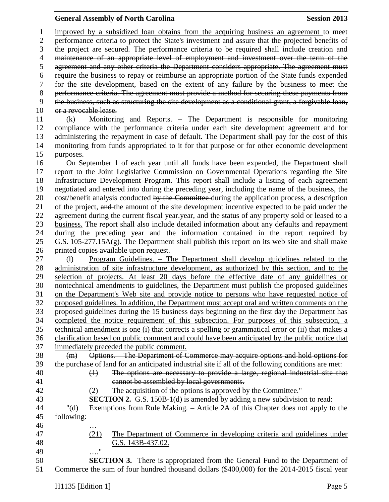## **General Assembly of North Carolina Session 2013**

 improved by a subsidized loan obtains from the acquiring business an agreement to meet performance criteria to protect the State's investment and assure that the projected benefits of 3 the project are secured. The performance criteria to be required shall include creation and maintenance of an appropriate level of employment and investment over the term of the agreement and any other criteria the Department considers appropriate. The agreement must require the business to repay or reimburse an appropriate portion of the State funds expended for the site development, based on the extent of any failure by the business to meet the performance criteria. The agreement must provide a method for securing these payments from the business, such as structuring the site development as a conditional grant, a forgivable loan, 10 or a revocable lease. (k) Monitoring and Reports. – The Department is responsible for monitoring compliance with the performance criteria under each site development agreement and for administering the repayment in case of default. The Department shall pay for the cost of this monitoring from funds appropriated to it for that purpose or for other economic development purposes. On September 1 of each year until all funds have been expended, the Department shall report to the Joint Legislative Commission on Governmental Operations regarding the Site Infrastructure Development Program. This report shall include a listing of each agreement 19 negotiated and entered into during the preceding year, including the name of the business, the 20 cost/benefit analysis conducted by the Committee during the application process, a description 21 of the project, and the amount of the site development incentive expected to be paid under the 22 agreement during the current fiscal year-year, and the status of any property sold or leased to a business. The report shall also include detailed information about any defaults and repayment during the preceding year and the information contained in the report required by G.S. 105-277.15A(g). The Department shall publish this report on its web site and shall make printed copies available upon request. (l) Program Guidelines. – The Department shall develop guidelines related to the administration of site infrastructure development, as authorized by this section, and to the selection of projects. At least 20 days before the effective date of any guidelines or nontechnical amendments to guidelines, the Department must publish the proposed guidelines on the Department's Web site and provide notice to persons who have requested notice of proposed guidelines. In addition, the Department must accept oral and written comments on the proposed guidelines during the 15 business days beginning on the first day the Department has completed the notice requirement of this subsection. For purposes of this subsection, a technical amendment is one (i) that corrects a spelling or grammatical error or (ii) that makes a clarification based on public comment and could have been anticipated by the public notice that immediately preceded the public comment. (m) Options. – The Department of Commerce may acquire options and hold options for the purchase of land for an anticipated industrial site if all of the following conditions are met: (1) The options are necessary to provide a large, regional industrial site that cannot be assembled by local governments. 42 (2) The acquisition of the options is approved by the Committee." **SECTION 2.** G.S. 150B-1(d) is amended by adding a new subdivision to read: "(d) Exemptions from Rule Making. – Article 2A of this Chapter does not apply to the following: … (21) The Department of Commerce in developing criteria and guidelines under G.S. 143B-437.02. …." **SECTION 3.** There is appropriated from the General Fund to the Department of Commerce the sum of four hundred thousand dollars (\$400,000) for the 2014-2015 fiscal year